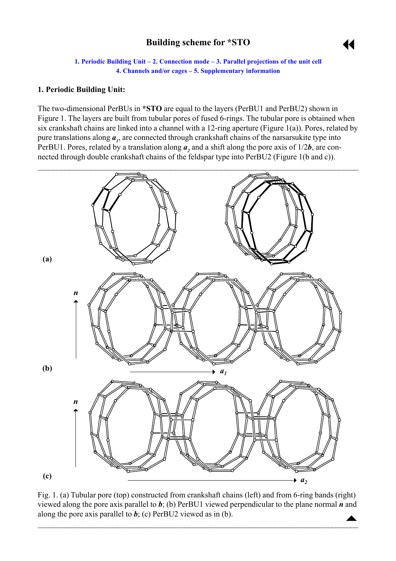# **Building scheme for \*STO**



**1. Periodic Building Unit – [2. Connection mode –](#page-1-0) [3. Parallel projections of the unit cell](#page-1-0) [4. Channels and/or cages –](#page-2-0) [5. Supplementary information](#page-3-0)**

#### <span id="page-0-0"></span>**1. Periodic Building Unit:**

The two-dimensional PerBUs in **\*STO** are equal to the layers (PerBU1 and PerBU2) shown in Figure 1. The layers are built from tubular pores of fused 6-rings. The tubular pore is obtained when six crankshaft chains are linked into a channel with a 12-ring aperture (Figure 1(a)). Pores, related by pure translations along  $a<sub>l</sub>$ , are connected through crankshaft chains of the narsarsukite type into PerBU1. Pores, related by a translation along  $a_2$  and a shift along the pore axis of  $1/2b$ , are connected through double crankshaft chains of the feldspar type into PerBU2 (Figure 1(b and c)).



Fig. 1. (a) Tubular pore (top) constructed from crankshaft chains (left) and from 6-ring bands (right) viewed along the pore axis parallel to *b*; (b) PerBU1 viewed perpendicular to the plane normal *n* and along the pore axis parallel to  $b$ ; (c) PerBU2 viewed as in (b).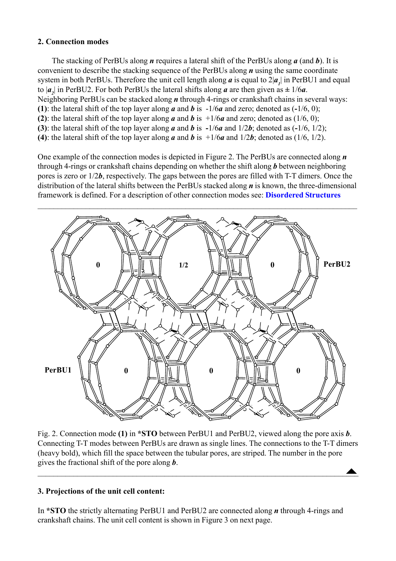# <span id="page-1-0"></span>**2. Connection modes**

The stacking of PerBUs along *n* requires a lateral shift of the PerBUs along *a* (and *b*). It is convenient to describe the stacking sequence of the PerBUs along *n* using the same coordinate system in both PerBUs. Therefore the unit cell length along  $a$  is equal to  $2|a_{j}|$  in PerBU1 and equal to  $|a_2|$  in PerBU2. For both PerBUs the lateral shifts along *a* are then given as  $\pm 1/6a$ . Neighboring PerBUs can be stacked along *n* through 4-rings or crankshaft chains in several ways: **(1)**: the lateral shift of the top layer along *a* and *b* is -1/6*a* and zero; denoted as (**-**1/6, 0); **(2)**: the lateral shift of the top layer along *a* and *b* is  $\pm 1/6a$  and zero; denoted as (1/6, 0); **(3)**: the lateral shift of the top layer along *a* and *b* is **-**1/6*a* and 1/2*b*; denoted as (**-**1/6, 1/2); **(4)**: the lateral shift of the top layer along *a* and *b* is  $\pm 1/6a$  and  $1/2b$ ; denoted as (1/6, 1/2).

One example of the connection modes is depicted in Figure 2. The PerBUs are connected along *n* through 4-rings or crankshaft chains depending on whether the shift along *b* between neighboring pores is zero or 1/2*b*, respectively. The gaps between the pores are filled with T-T dimers. Once the distribution of the lateral shifts between the PerBUs stacked along *n* is known, the three-dimensional framework is defined. For a description of other connection modes see: **[Disordered Structures](http://izasc.ethz.ch/fmi/xsl/IZA-SC/ds.htm)**



 $\triangle$ Fig. 2. Connection mode **(1)** in **\*STO** between PerBU1 and PerBU2, viewed along the pore axis *b*. Connecting T-T modes between PerBUs are drawn as single lines. The connections to the T-T dimers (heavy bold), which fill the space between the tubular pores, are striped. The number in the pore gives the fractional shift of the pore along *b*.

 $\blacktriangle$  , and the contribution of the contribution of the contribution of the contribution of  $\blacktriangle$ 

### **3. Projections of the unit cell content:**

In **\*STO** the strictly alternating PerBU1 and PerBU2 are connected along *n* through 4-rings and crankshaft chains. The unit cell content is shown in Figure 3 on next page.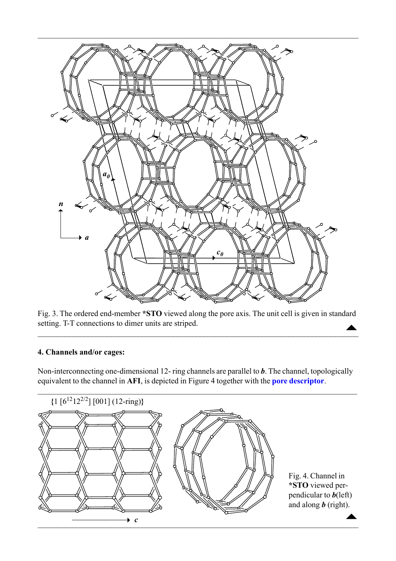<span id="page-2-0"></span>

 $\overline{\phantom{a}}$ Fig. 3. The ordered end-member **\*STO** viewed along the pore axis. The unit cell is given in standard setting. T-T connections to dimer units are striped.

 $\blacktriangle$ 

### **4. Channels and/or cages:**

Non-interconnecting one-dimensional 12- ring channels are parallel to *b*. The channel, topologically equivalent to the channel in **AFI**, is depicted in Figure 4 together with the **[pore descriptor](http://www.iza-structure.org/databases/ModelBuilding/Introduction.pdf)**.